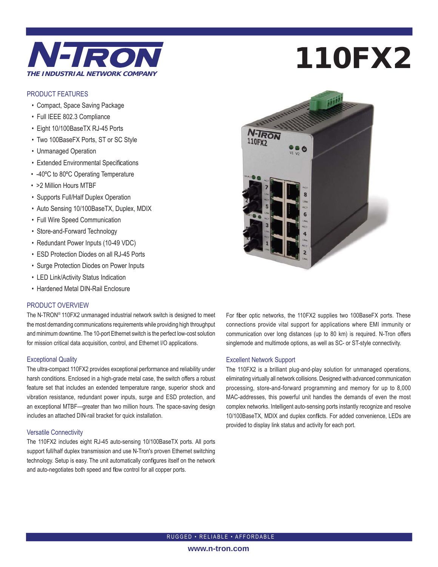

### PRODUCT FEATURES

- Compact, Space Saving Package
- Full IEEE 802.3 Compliance
- Eight 10/100BaseTX RJ-45 Ports
- Two 100BaseFX Ports, ST or SC Style
- Unmanaged Operation
- Extended Environmental Specifications
- -40ºC to 80ºC Operating Temperature
- >2 Million Hours MTBF
- Supports Full/Half Duplex Operation
- Auto Sensing 10/100BaseTX, Duplex, MDIX
- Full Wire Speed Communication
- Store-and-Forward Technology
- Redundant Power Inputs (10-49 VDC)
- ESD Protection Diodes on all RJ-45 Ports
- Surge Protection Diodes on Power Inputs
- LED Link/Activity Status Indication
- Hardened Metal DIN-Rail Enclosure

### PRODUCT OVERVIEW

The N-TRON® 110FX2 unmanaged industrial network switch is designed to meet the most demanding communications requirements while providing high throughput and minimum downtime. The 10-port Ethernet switch is the perfect low-cost solution for mission critical data acquisition, control, and Ethernet I/O applications.

### Exceptional Quality

The ultra-compact 110FX2 provides exceptional performance and reliability under harsh conditions. Enclosed in a high-grade metal case, the switch offers a robust feature set that includes an extended temperature range, superior shock and vibration resistance, redundant power inputs, surge and ESD protection, and an exceptional MTBF—greater than two million hours. The space-saving design includes an attached DIN-rail bracket for quick installation.

### Versatile Connectivity

The 110FX2 includes eight RJ-45 auto-sensing 10/100BaseTX ports. All ports support full/half duplex transmission and use N-Tron's proven Ethernet switching technology. Setup is easy. The unit automatically configures itself on the network and auto-negotiates both speed and flow control for all copper ports.

# 110FX2



For fiber optic networks, the 110FX2 supplies two 100BaseFX ports. These connections provide vital support for applications where EMI immunity or communication over long distances (up to 80 km) is required. N-Tron offers singlemode and multimode options, as well as SC- or ST-style connectivity.

### Excellent Network Support

The 110FX2 is a brilliant plug-and-play solution for unmanaged operations, eliminating virtually all network collisions. Designed with advanced communication processing, store-and-forward programming and memory for up to 8,000 MAC-addresses, this powerful unit handles the demands of even the most complex networks. Intelligent auto-sensing ports instantly recognize and resolve 10/100BaseTX, MDIX and duplex conflicts. For added convenience, LEDs are provided to display link status and activity for each port.

RUGGED • RELIABLE • AFFORDABLE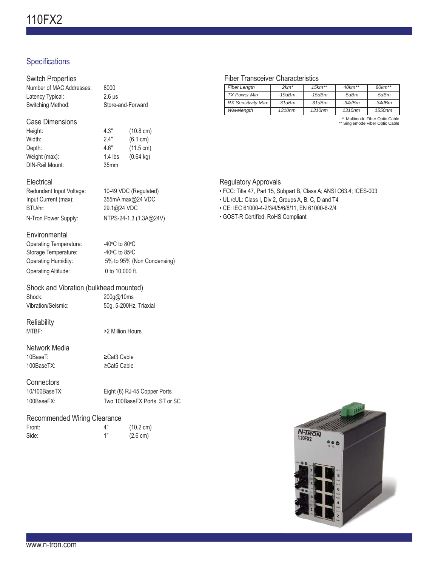# Specifications

### Switch Properties Number of MAC Addresses: 8000 Latency Typical: 2.6 μs Switching Method: Store-and-Forward Case Dimensions Height: 4.3" (10.8 cm) Width: 2.4" (6.1 cm) Depth: 4.6" (11.5 cm) Weight (max): 1.4 lbs (0.64 kg) DIN-Rail Mount: 35mm **Electrical** Redundant Input Voltage: 10-49 VDC (Regulated) Input Current (max): 355mA max@24 VDC BTU/hr: 29.1@24 VDC N-Tron Power Supply: NTPS-24-1.3 (1.3A@24V) **Environmental** Operating Temperature: C to 80 $\mathrm{^{\circ}C}$ Storage Temperature: C to 85 $\mathrm{^{\circ}C}$ Operating Humidity: 5% to 95% (Non Condensing) Operating Altitude: 0 to 10,000 ft.

# Shock and Vibration (bulkhead mounted) Shock: 200g@10ms

Vibration/Seismic: 50g, 5-200Hz, Triaxial

# **Reliability**

MTBF:  $>2$  Million Hours

# Network Media

10BaseT: ≥Cat3 Cable 100BaseTX: ≥Cat5 Cable

# **Connectors**

| 10/100BaseTX: | Eight (8) RJ-45 Copper Ports  |
|---------------|-------------------------------|
| 100BaseFX:    | Two 100BaseFX Ports, ST or SC |

### Recommended Wiring Clearance

| Front: | $\mathbf{\Lambda}^{\mathbf{u}}$ | $(10.2 \text{ cm})$ |
|--------|---------------------------------|---------------------|
| Side:  | 1"                              | $(2.6 \text{ cm})$  |

### Fiber Transceiver Characteristics

| <b>Fiber Length</b>       | $2km*$             | $15km**$ | $40km**$ | $80km**$ |
|---------------------------|--------------------|----------|----------|----------|
| TX Power Min              | $-19$ d $Bm$       | -15dBm   | -5dBm    | -5dBm    |
| <b>RX Sensitivity Max</b> | $-31dBm$           | -31dBm   | $-34dBm$ | $-34dBm$ |
| Wavelength                | 1310 <sub>nm</sub> | 1310nm   | 1310nm   | 1550nm   |

\* Multimode Fiber Optic Cable \*\* Singlemode Fiber Optic Cable

### Regulatory Approvals

- FCC: Title 47, Part 15, Subpart B, Class A; ANSI C63.4; ICES-003
- UL /cUL: Class I, Div 2, Groups A, B, C, D and T4
- CE: IEC 61000-4-2/3/4/5/6/8/11, EN 61000-6-2/4
- GOST-R Certified, RoHS Compliant

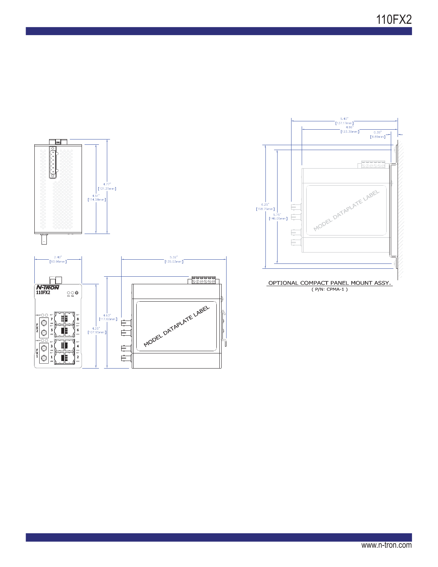